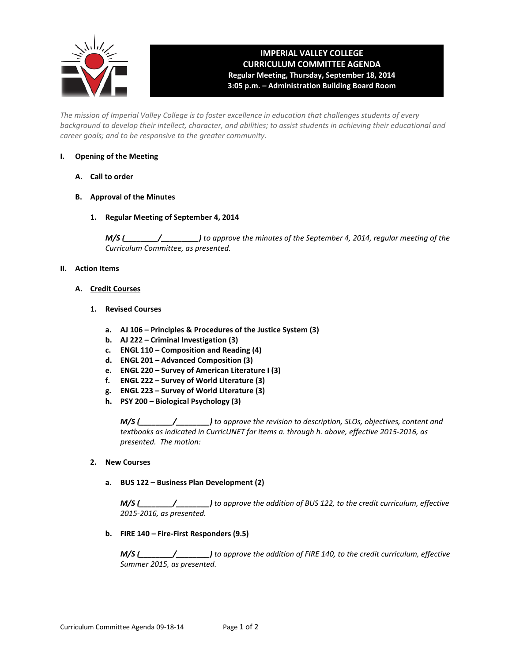

# **IMPERIAL VALLEY COLLEGE CURRICULUM COMMITTEE AGENDA Regular Meeting, Thursday, September 18, 2014 3:05 p.m. – Administration Building Board Room**

*The mission of Imperial Valley College is to foster excellence in education that challenges students of every background to develop their intellect, character, and abilities; to assist students in achieving their educational and career goals; and to be responsive to the greater community.*

#### **I. Opening of the Meeting**

- **A. Call to order**
- **B. Approval of the Minutes**
	- **1. Regular Meeting of September 4, 2014**

*M/S (\_\_\_\_\_\_\_\_/\_\_\_\_\_\_\_\_\_) to approve the minutes of the September 4, 2014, regular meeting of the Curriculum Committee, as presented.* 

#### **II. Action Items**

- **A. Credit Courses**
	- **1. Revised Courses**
		- **a. AJ 106 – Principles & Procedures of the Justice System (3)**
		- **b. AJ 222 – Criminal Investigation (3)**
		- **c. ENGL 110 – Composition and Reading (4)**
		- **d. ENGL 201 – Advanced Composition (3)**
		- **e. ENGL 220 – Survey of American Literature I (3)**
		- **f. ENGL 222 – Survey of World Literature (3)**
		- **g. ENGL 223 – Survey of World Literature (3)**
		- **h. PSY 200 – Biological Psychology (3)**

*M/S (\_\_\_\_\_\_\_\_/\_\_\_\_\_\_\_\_) to approve the revision to description, SLOs, objectives, content and textbooks as indicated in CurricUNET for items a. through h. above, effective 2015-2016, as presented. The motion:*

#### **2. New Courses**

**a. BUS 122 – Business Plan Development (2)**

*M/S (\_\_\_\_\_\_\_\_/\_\_\_\_\_\_\_\_) to approve the addition of BUS 122, to the credit curriculum, effective 2015-2016, as presented.*

**b. FIRE 140 – Fire-First Responders (9.5)**

*M/S (\_\_\_\_\_\_\_\_/\_\_\_\_\_\_\_\_) to approve the addition of FIRE 140, to the credit curriculum, effective Summer 2015, as presented.*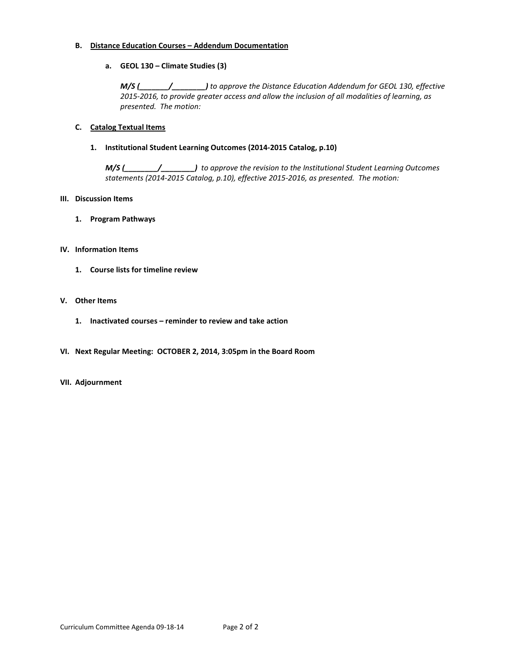#### **B. Distance Education Courses – Addendum Documentation**

#### **a. GEOL 130 – Climate Studies (3)**

*M/S (\_\_\_\_\_\_\_/\_\_\_\_\_\_\_\_) to approve the Distance Education Addendum for GEOL 130, effective 2015-2016, to provide greater access and allow the inclusion of all modalities of learning, as presented. The motion:*

#### **C. Catalog Textual Items**

#### **1. Institutional Student Learning Outcomes (2014-2015 Catalog, p.10)**

*M/S (\_\_\_\_\_\_\_\_/\_\_\_\_\_\_\_\_) to approve the revision to the Institutional Student Learning Outcomes statements (2014-2015 Catalog, p.10), effective 2015-2016, as presented. The motion:*

#### **III. Discussion Items**

**1. Program Pathways**

#### **IV. Information Items**

**1. Course lists for timeline review**

#### **V. Other Items**

- **1. Inactivated courses – reminder to review and take action**
- **VI. Next Regular Meeting: OCTOBER 2, 2014, 3:05pm in the Board Room**

#### **VII. Adjournment**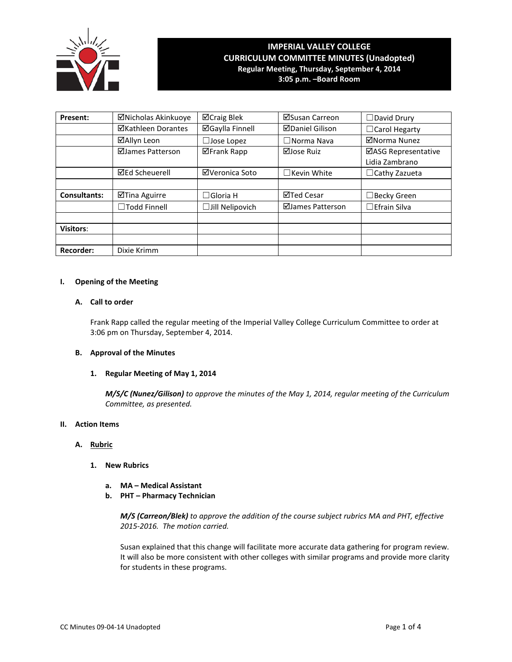

# **IMPERIAL VALLEY COLLEGE CURRICULUM COMMITTEE MINUTES (Unadopted) Regular Meeting, Thursday, September 4, 2014**

**3:05 p.m. –Board Room**

| Present:            | ⊠Nicholas Akinkuoye       | ⊠Craig Blek            | ⊠Susan Carreon         | □David Drury                          |
|---------------------|---------------------------|------------------------|------------------------|---------------------------------------|
|                     | <b>⊠Kathleen Dorantes</b> | <b>⊠Gaylla Finnell</b> | <b>ØDaniel Gilison</b> | □ Carol Hegarty                       |
|                     | ⊠Allyn Leon               | $\Box$ Jose Lopez      | $\Box$ Norma Nava      | ⊠Norma Nunez                          |
|                     | ⊠James Patterson          | <b>⊠Frank Rapp</b>     | ⊠Jose Ruiz             | ⊠ASG Representative<br>Lidia Zambrano |
|                     | <b>⊠Ed Scheuerell</b>     | ⊠Veronica Soto         | $\Box$ Kevin White     | $\Box$ Cathy Zazueta                  |
|                     |                           |                        |                        |                                       |
| <b>Consultants:</b> | ⊠Tina Aguirre             | $\Box$ Gloria H        | ⊠Ted Cesar             | ∃Becky Green                          |
|                     | □Todd Finnell             | $\Box$ Jill Nelipovich | ⊠James Patterson       | $\Box$ Efrain Silva                   |
|                     |                           |                        |                        |                                       |
| <b>Visitors:</b>    |                           |                        |                        |                                       |
|                     |                           |                        |                        |                                       |
| <b>Recorder:</b>    | Dixie Krimm               |                        |                        |                                       |

#### **I. Opening of the Meeting**

#### **A. Call to order**

Frank Rapp called the regular meeting of the Imperial Valley College Curriculum Committee to order at 3:06 pm on Thursday, September 4, 2014.

#### **B. Approval of the Minutes**

### **1. Regular Meeting of May 1, 2014**

*M/S/C (Nunez/Gilison) to approve the minutes of the May 1, 2014, regular meeting of the Curriculum Committee, as presented.* 

#### **II. Action Items**

#### **A. Rubric**

- **1. New Rubrics**
	- **a. MA – Medical Assistant**
	- **b. PHT – Pharmacy Technician**

*M/S (Carreon/Blek) to approve the addition of the course subject rubrics MA and PHT, effective 2015-2016. The motion carried.*

Susan explained that this change will facilitate more accurate data gathering for program review. It will also be more consistent with other colleges with similar programs and provide more clarity for students in these programs.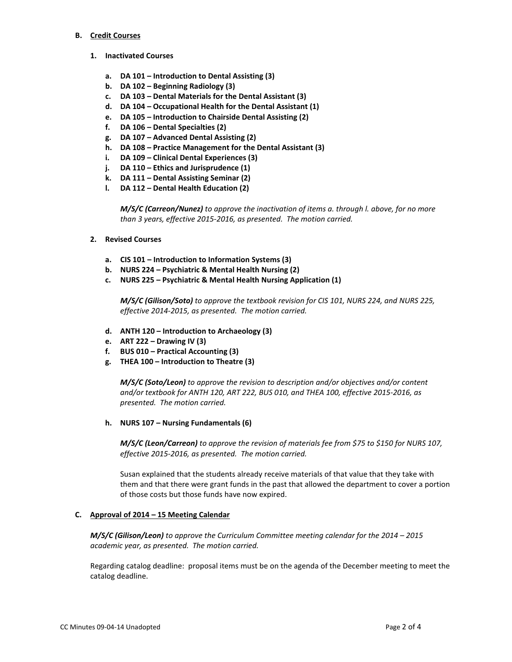#### **B. Credit Courses**

- **1. Inactivated Courses**
	- **a. DA 101 – Introduction to Dental Assisting (3)**
	- **b. DA 102 – Beginning Radiology (3)**
	- **c. DA 103 – Dental Materials for the Dental Assistant (3)**
	- **d. DA 104 – Occupational Health for the Dental Assistant (1)**
	- **e. DA 105 – Introduction to Chairside Dental Assisting (2)**
	- **f. DA 106 – Dental Specialties (2)**
	- **g. DA 107 – Advanced Dental Assisting (2)**
	- **h. DA 108 – Practice Management for the Dental Assistant (3)**
	- **i. DA 109 – Clinical Dental Experiences (3)**
	- **j. DA 110 – Ethics and Jurisprudence (1)**
	- **k. DA 111 – Dental Assisting Seminar (2)**
	- **l. DA 112 – Dental Health Education (2)**

*M/S/C (Carreon/Nunez) to approve the inactivation of items a. through l. above, for no more than 3 years, effective 2015-2016, as presented. The motion carried.*

- **2. Revised Courses**
	- **a. CIS 101 – Introduction to Information Systems (3)**
	- **b. NURS 224 – Psychiatric & Mental Health Nursing (2)**
	- **c. NURS 225 – Psychiatric & Mental Health Nursing Application (1)**

*M/S/C (Gilison/Soto) to approve the textbook revision for CIS 101, NURS 224, and NURS 225, effective 2014-2015, as presented. The motion carried.*

- **d. ANTH 120 – Introduction to Archaeology (3)**
- **e. ART 222 – Drawing IV (3)**
- **f. BUS 010 – Practical Accounting (3)**
- **g. THEA 100 – Introduction to Theatre (3)**

*M/S/C (Soto/Leon) to approve the revision to description and/or objectives and/or content and/or textbook for ANTH 120, ART 222, BUS 010, and THEA 100, effective 2015-2016, as presented. The motion carried.*

**h. NURS 107 – Nursing Fundamentals (6)**

*M/S/C (Leon/Carreon) to approve the revision of materials fee from \$75 to \$150 for NURS 107, effective 2015-2016, as presented. The motion carried.*

Susan explained that the students already receive materials of that value that they take with them and that there were grant funds in the past that allowed the department to cover a portion of those costs but those funds have now expired.

### **C. Approval of 2014 – 15 Meeting Calendar**

*M/S/C (Gilison/Leon) to approve the Curriculum Committee meeting calendar for the 2014 – 2015 academic year, as presented. The motion carried.* 

Regarding catalog deadline: proposal items must be on the agenda of the December meeting to meet the catalog deadline.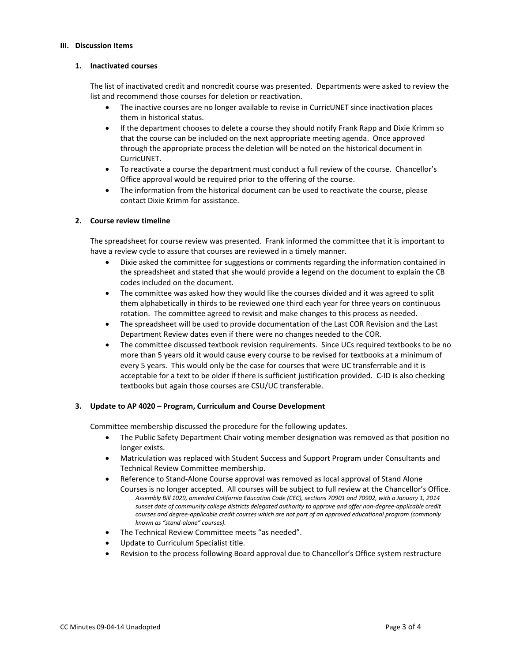#### **III. Discussion Items**

#### **1. Inactivated courses**

The list of inactivated credit and noncredit course was presented. Departments were asked to review the list and recommend those courses for deletion or reactivation.

- The inactive courses are no longer available to revise in CurricUNET since inactivation places them in historical status.
- If the department chooses to delete a course they should notify Frank Rapp and Dixie Krimm so that the course can be included on the next appropriate meeting agenda. Once approved through the appropriate process the deletion will be noted on the historical document in CurricUNET.
- To reactivate a course the department must conduct a full review of the course. Chancellor's Office approval would be required prior to the offering of the course.
- The information from the historical document can be used to reactivate the course, please contact Dixie Krimm for assistance.

### **2. Course review timeline**

The spreadsheet for course review was presented. Frank informed the committee that it is important to have a review cycle to assure that courses are reviewed in a timely manner.

- Dixie asked the committee for suggestions or comments regarding the information contained in the spreadsheet and stated that she would provide a legend on the document to explain the CB codes included on the document.
- The committee was asked how they would like the courses divided and it was agreed to split them alphabetically in thirds to be reviewed one third each year for three years on continuous rotation. The committee agreed to revisit and make changes to this process as needed.
- The spreadsheet will be used to provide documentation of the Last COR Revision and the Last Department Review dates even if there were no changes needed to the COR.
- The committee discussed textbook revision requirements. Since UCs required textbooks to be no more than 5 years old it would cause every course to be revised for textbooks at a minimum of every 5 years. This would only be the case for courses that were UC transferrable and it is acceptable for a text to be older if there is sufficient justification provided. C-ID is also checking textbooks but again those courses are CSU/UC transferable.

### **3. Update to AP 4020 – Program, Curriculum and Course Development**

Committee membership discussed the procedure for the following updates.

- The Public Safety Department Chair voting member designation was removed as that position no longer exists.
- Matriculation was replaced with Student Success and Support Program under Consultants and Technical Review Committee membership.
- Reference to Stand-Alone Course approval was removed as local approval of Stand Alone Courses is no longer accepted. All courses will be subject to full review at the Chancellor's Office. *Assembly Bill 1029, amended California Education Code (CEC), sections 70901 and 70902, with a January 1, 2014 sunset date of community college districts delegated authority to approve and offer non-degree-applicable credit courses and degree-applicable credit courses which are not part of an approved educational program (commonly known as "stand-alone" courses).*
- The Technical Review Committee meets "as needed".
- Update to Curriculum Specialist title.
- Revision to the process following Board approval due to Chancellor's Office system restructure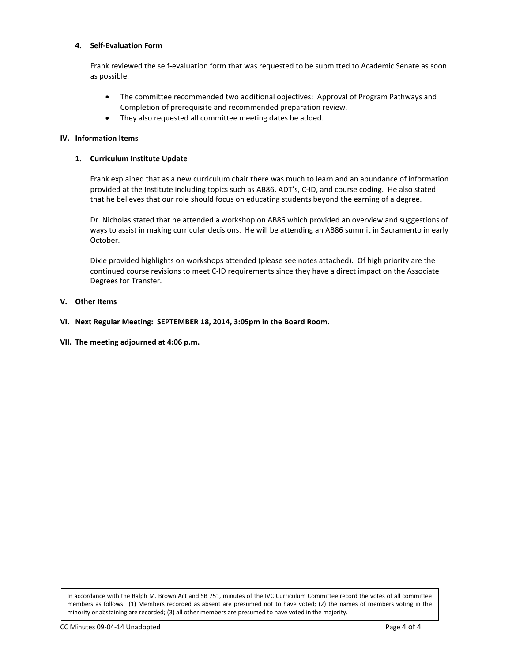#### **4. Self-Evaluation Form**

Frank reviewed the self-evaluation form that was requested to be submitted to Academic Senate as soon as possible.

- The committee recommended two additional objectives: Approval of Program Pathways and Completion of prerequisite and recommended preparation review.
- They also requested all committee meeting dates be added.

#### **IV. Information Items**

#### **1. Curriculum Institute Update**

Frank explained that as a new curriculum chair there was much to learn and an abundance of information provided at the Institute including topics such as AB86, ADT's, C-ID, and course coding. He also stated that he believes that our role should focus on educating students beyond the earning of a degree.

Dr. Nicholas stated that he attended a workshop on AB86 which provided an overview and suggestions of ways to assist in making curricular decisions. He will be attending an AB86 summit in Sacramento in early October.

Dixie provided highlights on workshops attended (please see notes attached). Of high priority are the continued course revisions to meet C-ID requirements since they have a direct impact on the Associate Degrees for Transfer.

#### **V. Other Items**

- **VI. Next Regular Meeting: SEPTEMBER 18, 2014, 3:05pm in the Board Room.**
- **VII. The meeting adjourned at 4:06 p.m.**

In accordance with the Ralph M. Brown Act and SB 751, minutes of the IVC Curriculum Committee record the votes of all committee members as follows: (1) Members recorded as absent are presumed not to have voted; (2) the names of members voting in the minority or abstaining are recorded; (3) all other members are presumed to have voted in the majority.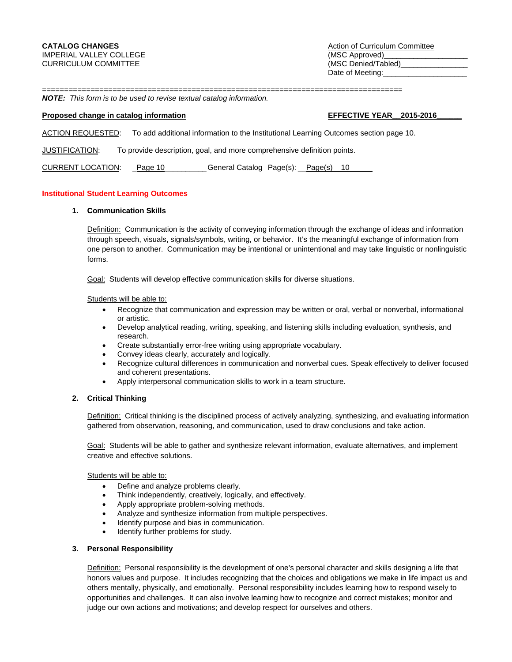**CATALOG CHANGES** Action of Curriculum Committee Date of Meeting:

================================================================================== *NOTE: This form is to be used to revise textual catalog information.* 

#### **Proposed change in catalog information EFFECTIVE YEAR** 2015-2016

ACTION REQUESTED: To add additional information to the Institutional Learning Outcomes section page 10.

JUSTIFICATION: To provide description, goal, and more comprehensive definition points.

CURRENT LOCATION: Page 10 \_\_\_\_\_\_\_\_\_General Catalog Page(s): Page(s) 10

#### **Institutional Student Learning Outcomes**

#### **1. Communication Skills**

Definition: Communication is the activity of conveying information through the exchange of ideas and information through speech, visuals, signals/symbols, writing, or behavior. It's the meaningful exchange of information from one person to another. Communication may be intentional or unintentional and may take linguistic or nonlinguistic forms.

Goal: Students will develop effective communication skills for diverse situations.

Students will be able to:

- Recognize that communication and expression may be written or oral, verbal or nonverbal, informational or artistic.
- Develop analytical reading, writing, speaking, and listening skills including evaluation, synthesis, and research.
- Create substantially error-free writing using appropriate vocabulary.
- Convey ideas clearly, accurately and logically.
- Recognize cultural differences in communication and nonverbal cues. Speak effectively to deliver focused and coherent presentations.
- Apply interpersonal communication skills to work in a team structure.

#### **2. Critical Thinking**

Definition: Critical thinking is the disciplined process of actively analyzing, synthesizing, and evaluating information gathered from observation, reasoning, and communication, used to draw conclusions and take action.

Goal: Students will be able to gather and synthesize relevant information, evaluate alternatives, and implement creative and effective solutions.

Students will be able to:

- Define and analyze problems clearly.
- Think independently, creatively, logically, and effectively.
- Apply appropriate problem-solving methods.
- Analyze and synthesize information from multiple perspectives.
- Identify purpose and bias in communication.
- Identify further problems for study.

#### **3. Personal Responsibility**

Definition: Personal responsibility is the development of one's personal character and skills designing a life that honors values and purpose. It includes recognizing that the choices and obligations we make in life impact us and others mentally, physically, and emotionally. Personal responsibility includes learning how to respond wisely to opportunities and challenges. It can also involve learning how to recognize and correct mistakes; monitor and judge our own actions and motivations; and develop respect for ourselves and others.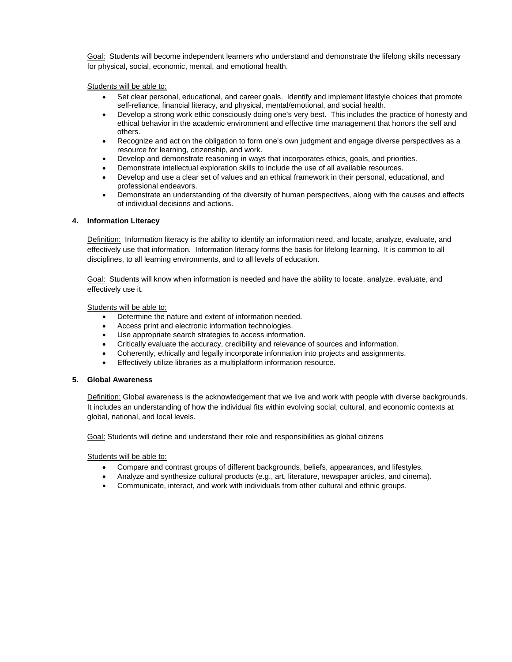Goal: Students will become independent learners who understand and demonstrate the lifelong skills necessary for physical, social, economic, mental, and emotional health.

Students will be able to:

- Set clear personal, educational, and career goals. Identify and implement lifestyle choices that promote self-reliance, financial literacy, and physical, mental/emotional, and social health.
- Develop a strong work ethic consciously doing one's very best. This includes the practice of honesty and ethical behavior in the academic environment and effective time management that honors the self and others.
- Recognize and act on the obligation to form one's own judgment and engage diverse perspectives as a resource for learning, citizenship, and work.
- Develop and demonstrate reasoning in ways that incorporates ethics, goals, and priorities.
- Demonstrate intellectual exploration skills to include the use of all available resources.
- Develop and use a clear set of values and an ethical framework in their personal, educational, and professional endeavors.
- Demonstrate an understanding of the diversity of human perspectives, along with the causes and effects of individual decisions and actions.

#### **4. Information Literacy**

Definition: Information literacy is the ability to identify an information need, and locate, analyze, evaluate, and effectively use that information. Information literacy forms the basis for lifelong learning. It is common to all disciplines, to all learning environments, and to all levels of education.

Goal: Students will know when information is needed and have the ability to locate, analyze, evaluate, and effectively use it.

Students will be able to:

- Determine the nature and extent of information needed.
- Access print and electronic information technologies.
- Use appropriate search strategies to access information.
- Critically evaluate the accuracy, credibility and relevance of sources and information.
- Coherently, ethically and legally incorporate information into projects and assignments.
- Effectively utilize libraries as a multiplatform information resource.

#### **5. Global Awareness**

Definition: Global awareness is the acknowledgement that we live and work with people with diverse backgrounds. It includes an understanding of how the individual fits within evolving social, cultural, and economic contexts at global, national, and local levels.

Goal: Students will define and understand their role and responsibilities as global citizens

Students will be able to:

- Compare and contrast groups of different backgrounds, beliefs, appearances, and lifestyles.
- Analyze and synthesize cultural products (e.g., art, literature, newspaper articles, and cinema).
- Communicate, interact, and work with individuals from other cultural and ethnic groups.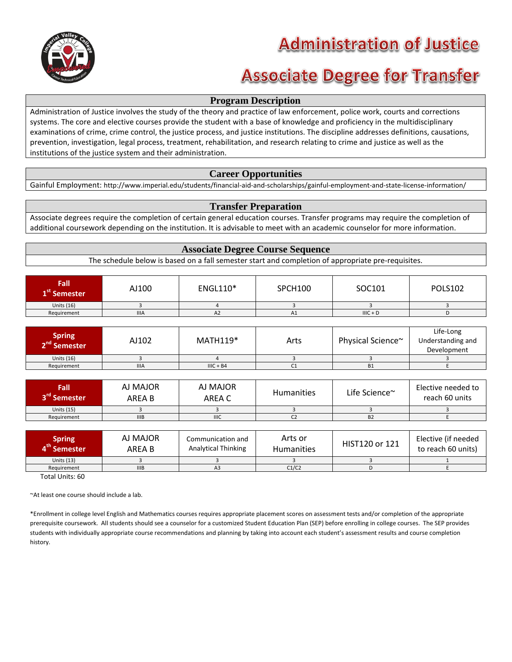

# **Administration of Justice**

# **Associate Degree for Transfer**

## **Program Description**

Administration of Justice involves the study of the theory and practice of law enforcement, police work, courts and corrections systems. The core and elective courses provide the student with a base of knowledge and proficiency in the multidisciplinary examinations of crime, crime control, the justice process, and justice institutions. The discipline addresses definitions, causations, prevention, investigation, legal process, treatment, rehabilitation, and research relating to crime and justice as well as the institutions of the justice system and their administration.

## **Career Opportunities**

Gainful Employment: http://www.imperial.edu/students/financial-aid-and-scholarships/gainful-employment-and-state-license-information/

## **Transfer Preparation**

Associate degrees require the completion of certain general education courses. Transfer programs may require the completion of additional coursework depending on the institution. It is advisable to meet with an academic counselor for more information.

### **Associate Degree Course Sequence**

The schedule below is based on a fall semester start and completion of appropriate pre-requisites.

| <b>Fall</b><br>1 <sup>st</sup> Semester | AJ100       | ENGL110* | <b>SPCH100</b> | SOC101     | <b>POLS102</b> |
|-----------------------------------------|-------------|----------|----------------|------------|----------------|
| Units $(16)$                            |             |          |                |            |                |
| Requirement                             | <b>IIIA</b> | AZ.      | A1             | $IIIC + D$ |                |

| Spring<br>2 <sup>nd</sup> Semester | AJ102       | $MATH119*$  | Arts | Physical Science~ | Life-Long<br>Understanding and<br>Development |
|------------------------------------|-------------|-------------|------|-------------------|-----------------------------------------------|
| Units $(16)$                       |             |             |      |                   |                                               |
| Requirement                        | <b>IIIA</b> | $IIIC + B4$ | ◡⊥   | <b>B1</b>         |                                               |

| <b>Fall</b><br>3 <sup>rd</sup> Semester | AJ MAJOR<br>AREA B | AJ MAJOR<br>AREA C | <b>Humanities</b> | Life Science~ | Elective needed to<br>reach 60 units |
|-----------------------------------------|--------------------|--------------------|-------------------|---------------|--------------------------------------|
| Units $(15)$                            |                    |                    |                   |               |                                      |
| Requirement                             | <b>IIIB</b>        | <b>IIIC</b>        |                   | <b>B2</b>     |                                      |

| Spring<br>I <sup>th</sup> Semester | AJ MAJOR<br>ARFA B | Communication and<br><b>Analytical Thinking</b> | Arts or<br><b>Humanities</b> | HIST120 or 121 | Elective (if needed<br>to reach 60 units) |
|------------------------------------|--------------------|-------------------------------------------------|------------------------------|----------------|-------------------------------------------|
| Units $(13)$                       |                    |                                                 |                              |                |                                           |
| Requirement                        | IIIB               | A <sub>3</sub>                                  | C1/C2                        |                |                                           |

Total Units: 60

~At least one course should include a lab.

\*Enrollment in college level English and Mathematics courses requires appropriate placement scores on assessment tests and/or completion of the appropriate prerequisite coursework. All students should see a counselor for a customized Student Education Plan (SEP) before enrolling in college courses. The SEP provides students with individually appropriate course recommendations and planning by taking into account each student's assessment results and course completion history.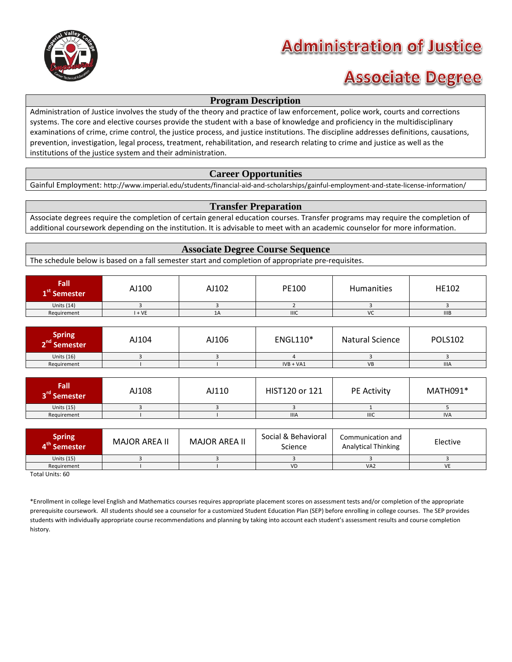

# **Administration of Justice**

# **Associate Degree**

## **Program Description**

Administration of Justice involves the study of the theory and practice of law enforcement, police work, courts and corrections systems. The core and elective courses provide the student with a base of knowledge and proficiency in the multidisciplinary examinations of crime, crime control, the justice process, and justice institutions. The discipline addresses definitions, causations, prevention, investigation, legal process, treatment, rehabilitation, and research relating to crime and justice as well as the institutions of the justice system and their administration.

## **Career Opportunities**

Gainful Employment: http://www.imperial.edu/students/financial-aid-and-scholarships/gainful-employment-and-state-license-information/

## **Transfer Preparation**

Associate degrees require the completion of certain general education courses. Transfer programs may require the completion of additional coursework depending on the institution. It is advisable to meet with an academic counselor for more information.

## **Associate Degree Course Sequence**

The schedule below is based on a fall semester start and completion of appropriate pre-requisites.

| Fall<br>L`` Semester | AJ100 | AJ102 | PE100       | Humanities | HE102 |
|----------------------|-------|-------|-------------|------------|-------|
| <b>Units (14)</b>    |       |       |             |            |       |
| Requirement          | $+VE$ | 1A    | <b>IIIC</b> | VC         | IIIB  |

| Spring<br>2 <sup>nd</sup> Semester | AJ104 | AJ106 | <b>ENGL110*</b> | <b>Natural Science</b> | <b>POLS102</b> |
|------------------------------------|-------|-------|-----------------|------------------------|----------------|
| Units $(16)$                       |       |       |                 |                        |                |
| Requirement                        |       |       | $IVB + VA1$     | VB                     | <b>IIIA</b>    |

| Fall<br>3 <sup>rd</sup> Semester | AJ108 | AJ110 | HIST120 or 121 | <b>PE Activity</b> | MATH091*   |
|----------------------------------|-------|-------|----------------|--------------------|------------|
| Units $(15)$                     |       |       |                |                    |            |
| Requirement                      |       |       | <b>IIIA</b>    | <b>IIIC</b>        | <b>IVA</b> |

| Spring<br>I <sup>th</sup> Semester | MAJOR AREA II | <b>MAJOR AREA II</b> | Social & Behavioral<br>Science | Communication and<br><b>Analytical Thinking</b> | Elective |
|------------------------------------|---------------|----------------------|--------------------------------|-------------------------------------------------|----------|
| Units (15)                         |               |                      |                                |                                                 |          |
| Requirement                        |               |                      | <b>VD</b>                      | VA <sub>2</sub>                                 | VE       |

Total Units: 60

\*Enrollment in college level English and Mathematics courses requires appropriate placement scores on assessment tests and/or completion of the appropriate prerequisite coursework. All students should see a counselor for a customized Student Education Plan (SEP) before enrolling in college courses. The SEP provides students with individually appropriate course recommendations and planning by taking into account each student's assessment results and course completion history.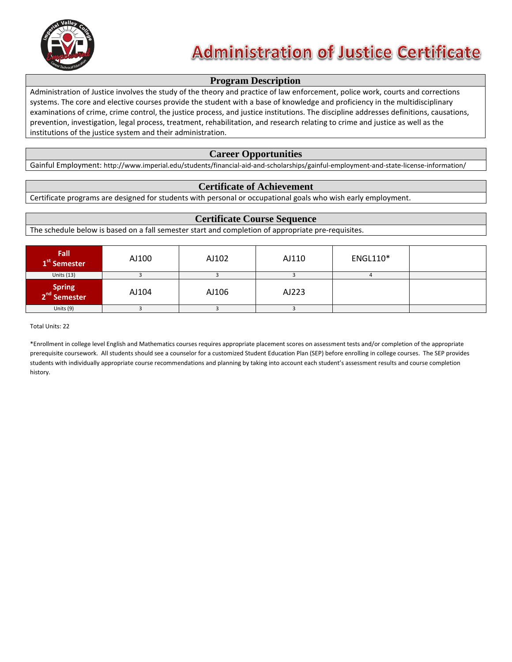

# **Administration of Justice Certificate**

## **Program Description**

Administration of Justice involves the study of the theory and practice of law enforcement, police work, courts and corrections systems. The core and elective courses provide the student with a base of knowledge and proficiency in the multidisciplinary examinations of crime, crime control, the justice process, and justice institutions. The discipline addresses definitions, causations, prevention, investigation, legal process, treatment, rehabilitation, and research relating to crime and justice as well as the institutions of the justice system and their administration.

## **Career Opportunities**

Gainful Employment: http://www.imperial.edu/students/financial-aid-and-scholarships/gainful-employment-and-state-license-information/

## **Certificate of Achievement**

Certificate programs are designed for students with personal or occupational goals who wish early employment.

## **Certificate Course Sequence**

The schedule below is based on a fall semester start and completion of appropriate pre-requisites.

| Fall<br>1 <sup>st</sup> Semester   | AJ100 | AJ102 | AJ110 | <b>ENGL110*</b> |  |
|------------------------------------|-------|-------|-------|-----------------|--|
| Units $(13)$                       |       |       |       |                 |  |
| Spring<br>2 <sup>nd</sup> Semester | AJ104 | AJ106 | AJ223 |                 |  |
| Units $(9)$                        |       |       |       |                 |  |

Total Units: 22

\*Enrollment in college level English and Mathematics courses requires appropriate placement scores on assessment tests and/or completion of the appropriate prerequisite coursework. All students should see a counselor for a customized Student Education Plan (SEP) before enrolling in college courses. The SEP provides students with individually appropriate course recommendations and planning by taking into account each student's assessment results and course completion history.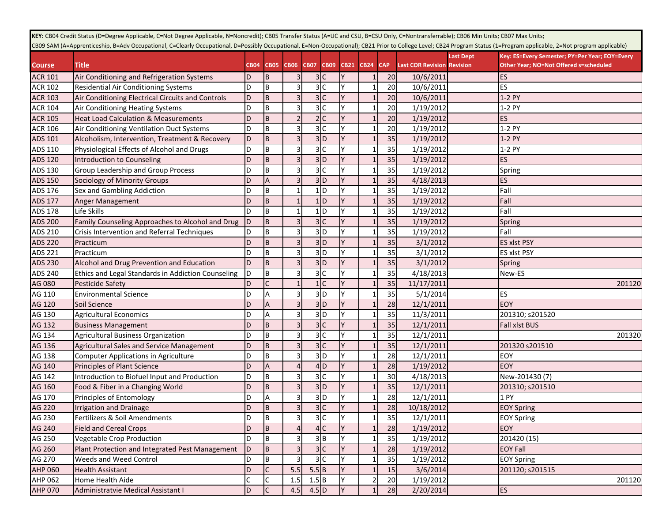|                | KEY: CB04 Credit Status (D=Degree Applicable, C=Not Degree Applicable, N=Noncredit); CB05 Transfer Status (A=UC and CSU, B=CSU Only, C=Nontransferrable); CB06 Min Units; CB07 Max Units;                               |              |                |                |              |                |             |             |            |                                   |           |                                                |
|----------------|-------------------------------------------------------------------------------------------------------------------------------------------------------------------------------------------------------------------------|--------------|----------------|----------------|--------------|----------------|-------------|-------------|------------|-----------------------------------|-----------|------------------------------------------------|
|                | CBO9 SAM (A=Apprenticeship, B=Adv Occupational, C=Clearly Occupational, D=Possibly Occupational, E=Non-Occupational); CB21 Prior to College Level; CB24 Program Status (1=Program applicable, 2=Not program applicable) |              |                |                |              |                |             |             |            |                                   |           |                                                |
|                |                                                                                                                                                                                                                         |              |                |                |              |                |             |             |            |                                   | Last Dept | Key: ES=Every Semester; PY=Per Year; EOY=Every |
| <b>Course</b>  | <b>Title</b>                                                                                                                                                                                                            | <b>CB04</b>  | <b>CB05</b>    | CB06 CB07      |              | <b>CB09</b>    | <b>CB21</b> | <b>CB24</b> | <b>CAP</b> | <b>Last COR Revision Revision</b> |           | Other Year; NO=Not Offered s=scheduled         |
| <b>ACR 101</b> | Air Conditioning and Refrigeration Systems                                                                                                                                                                              | D            | B              |                |              | 3C             |             |             | 20         | 10/6/2011                         |           | ES                                             |
| <b>ACR 102</b> | Residential Air Conditioning Systems                                                                                                                                                                                    | D            | ΙB             |                |              | 3C             | ΙY          |             | 20         | 10/6/2011                         |           | ES                                             |
| <b>ACR 103</b> | Air Conditioning Electrical Circuits and Controls                                                                                                                                                                       | D            | B              |                |              | 3 <sup>c</sup> |             |             | 20         | 10/6/2011                         |           | 1-2 PY                                         |
| <b>ACR 104</b> | Air Conditioning Heating Systems                                                                                                                                                                                        | D            | l B            |                |              | 3 <sup>c</sup> |             |             | 20         | 1/19/2012                         |           | 1-2 PY                                         |
| <b>ACR 105</b> | <b>Heat Load Calculation &amp; Measurements</b>                                                                                                                                                                         | D            | <b>B</b>       |                |              | 2 C            |             |             | 20         | 1/19/2012                         |           | ES                                             |
| <b>ACR 106</b> | Air Conditioning Ventilation Duct Systems                                                                                                                                                                               | D            | B              |                |              | 3 <sup>c</sup> | lY.         |             | 20         | 1/19/2012                         |           | 1-2 PY                                         |
| ADS 101        | Alcoholism, Intervention, Treatment & Recovery                                                                                                                                                                          | D            | B              | $\overline{3}$ |              | 3D             | Y           |             | 35         | 1/19/2012                         |           | 1-2 PY                                         |
| ADS 110        | Physiological Effects of Alcohol and Drugs                                                                                                                                                                              | D            | B              | 3              |              | 3C             | Y           |             | 35         | 1/19/2012                         |           | 1-2 PY                                         |
| ADS 120        | Introduction to Counseling                                                                                                                                                                                              | D            | B              | $\overline{3}$ |              | 3D             |             |             | 35         | 1/19/2012                         |           | ES                                             |
| ADS 130        | Group Leadership and Group Process                                                                                                                                                                                      | D            | B              |                |              | 3 <sup>c</sup> | lY.         |             | 35         | 1/19/2012                         |           | Spring                                         |
| <b>ADS 150</b> | Sociology of Minority Groups                                                                                                                                                                                            | D            | $\overline{A}$ |                |              | 3D             |             |             | 35         | 4/18/2013                         |           | <b>ES</b>                                      |
| ADS 176        | Sex and Gambling Addiction                                                                                                                                                                                              | D            | B              |                |              | 1D             |             |             | 35         | 1/19/2012                         |           | Fall                                           |
| <b>ADS 177</b> | <b>Anger Management</b>                                                                                                                                                                                                 | D            | B              |                |              | 1D             |             |             | 35         | 1/19/2012                         |           | Fall                                           |
| ADS 178        | Life Skills                                                                                                                                                                                                             | D            | B              |                |              | 1D             |             |             | 35         | 1/19/2012                         |           | Fall                                           |
| <b>ADS 200</b> | Family Counseling Approaches to Alcohol and Drug                                                                                                                                                                        | ID           | B              |                |              | 3C             |             |             | 35         | 1/19/2012                         |           | Spring                                         |
| ADS 210        | Crisis Intervention and Referral Techniques                                                                                                                                                                             | D            | B              |                |              | 3D             |             |             | 35         | 1/19/2012                         |           | Fall                                           |
| <b>ADS 220</b> | Practicum                                                                                                                                                                                                               | D            | B              |                |              | 3D             |             |             | 35         | 3/1/2012                          |           | ES xlst PSY                                    |
| ADS 221        | Practicum                                                                                                                                                                                                               | D            | B              |                |              | 3D             |             |             | 35         | 3/1/2012                          |           | <b>ES xlst PSY</b>                             |
| ADS 230        | Alcohol and Drug Prevention and Education                                                                                                                                                                               | D            | B              |                |              | 3D             |             |             | 35         | 3/1/2012                          |           | Spring                                         |
| ADS 240        | Ethics and Legal Standards in Addiction Counseling                                                                                                                                                                      | D            | l B            |                |              | 3 <sup>c</sup> |             |             | 35         | 4/18/2013                         |           | New-ES                                         |
| AG 080         | Pesticide Safety                                                                                                                                                                                                        | D            | C              |                |              | 1 <sup>c</sup> | Y           |             | 35         | 11/17/2011                        |           | 201120                                         |
| AG 110         | <b>Environmental Science</b>                                                                                                                                                                                            | D            | A              |                |              | 3D             | lY.         |             | 35         | 5/1/2014                          |           | <b>ES</b>                                      |
| AG 120         | Soil Science                                                                                                                                                                                                            | D            | $\overline{A}$ |                |              | 3D             | Y           |             | 28         | 12/1/2011                         |           | EOY                                            |
| AG 130         | <b>Agricultural Economics</b>                                                                                                                                                                                           | D            | Α              |                |              | 3D             | Y           |             | 35         | 11/3/2011                         |           | 201310; s201520                                |
| AG 132         | <b>Business Management</b>                                                                                                                                                                                              | D            | B              |                |              | 3C             | Y           |             | 35         | 12/1/2011                         |           | Fall xlst BUS                                  |
| AG 134         | <b>Agricultural Business Organization</b>                                                                                                                                                                               | D            | B              | 3              |              | 3C             | Y           |             | 35         | 12/1/2011                         |           | 201320                                         |
| AG 136         | Agricultural Sales and Service Management                                                                                                                                                                               | D            | B              |                |              | 3 <sup>c</sup> | Y           |             | 35         | 12/1/2011                         |           | 201320 s201510                                 |
| AG 138         | <b>Computer Applications in Agriculture</b>                                                                                                                                                                             | D            | B              |                |              | 3D             | Y           |             | 28         | 12/1/2011                         |           | EOY                                            |
| AG 140         | Principles of Plant Science                                                                                                                                                                                             | D            | A              |                |              | 4D             |             |             | 28         | 1/19/2012                         |           | EOY                                            |
| AG 142         | Introduction to Biofuel Input and Production                                                                                                                                                                            | D            | B              |                |              | 3 <sub>c</sub> | l Y         |             | 30         | 4/18/2013                         |           | New-201430 (7)                                 |
| AG 160         | Food & Fiber in a Changing World                                                                                                                                                                                        | D            | $\overline{B}$ |                |              | 3D             |             |             | 35         | 12/1/2011                         |           | 201310; s201510                                |
| AG 170         | Principles of Entomology                                                                                                                                                                                                | D            | А              |                |              | 3D             |             |             | 28         | 12/1/2011                         |           | 1 PY                                           |
| AG 220         | <b>Irrigation and Drainage</b>                                                                                                                                                                                          | D            | ΙB             | 31             |              | 3C             |             |             | 28         | 10/18/2012                        |           | <b>EOY Spring</b>                              |
| AG 230         | Fertilizers & Soil Amendments                                                                                                                                                                                           | D            | B              |                |              | 3 <sup>C</sup> | ΙY          |             | 35         | 12/1/2011                         |           | <b>EOY Spring</b>                              |
| AG 240         | <b>Field and Cereal Crops</b>                                                                                                                                                                                           | D            | B              |                |              | 4C             |             |             | 28         | 1/19/2012                         |           | <b>EOY</b>                                     |
| AG 250         | <b>Vegetable Crop Production</b>                                                                                                                                                                                        | D            | B              |                |              | 3B             |             |             | 35         | 1/19/2012                         |           | 201420 (15)                                    |
| AG 260         | Plant Protection and Integrated Pest Management                                                                                                                                                                         | D            | B              |                |              | 3C             |             |             | 28         | 1/19/2012                         |           | <b>EOY Fall</b>                                |
| AG 270         | Weeds and Weed Control                                                                                                                                                                                                  | D            | B              |                |              | 3C             | IY.         |             | 35         | 1/19/2012                         |           | <b>EOY Spring</b>                              |
| <b>AHP 060</b> | <b>Health Assistant</b>                                                                                                                                                                                                 | D            | $\mathsf{C}$   | 5.5            | $5.5\vert B$ |                |             |             | 15         | 3/6/2014                          |           | 201120; s201515                                |
| <b>AHP 062</b> | Home Health Aide                                                                                                                                                                                                        | $\mathsf{C}$ | IС             | 1.5            | 1.5B         |                | Y           |             | 20         | 1/19/2012                         |           | 201120                                         |
| <b>AHP 070</b> | Administratvie Medical Assistant I                                                                                                                                                                                      | D            | <b>C</b>       | 4.5            | $4.5$ D      |                | Y           |             | 28         | 2/20/2014                         |           | <b>ES</b>                                      |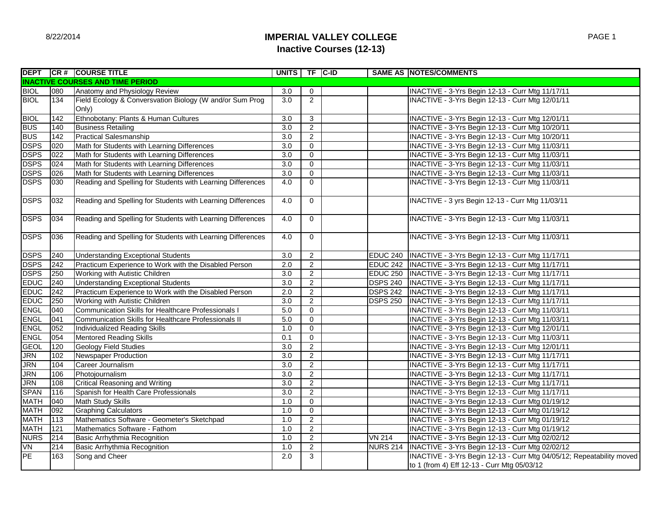# **IMPERIAL VALLEY COLLEGE Inactive Courses (12-13)**

|                        |     | DEPT   CR #   COURSE TITLE                                        | UNITS TF C-ID    |                |                 | <b>SAME AS NOTES/COMMENTS</b>                                         |
|------------------------|-----|-------------------------------------------------------------------|------------------|----------------|-----------------|-----------------------------------------------------------------------|
|                        |     | <b>INACTIVE COURSES AND TIME PERIOD</b>                           |                  |                |                 |                                                                       |
| <b>BIOL</b>            | 080 | Anatomy and Physiology Review                                     | 3.0              | 0              |                 | INACTIVE - 3-Yrs Begin 12-13 - Curr Mtg 11/17/11                      |
| <b>BIOL</b>            | 134 | Field Ecology & Conversvation Biology (W and/or Sum Prog<br>Only) | 3.0              | $\overline{2}$ |                 | INACTIVE - 3-Yrs Begin 12-13 - Curr Mtg 12/01/11                      |
| <b>BIOL</b>            | 142 | Ethnobotany: Plants & Human Cultures                              | 3.0              | 3              |                 | INACTIVE - 3-Yrs Begin 12-13 - Curr Mtg 12/01/11                      |
| <b>BUS</b>             | 140 | <b>Business Retailing</b>                                         | 3.0              | $\overline{2}$ |                 | INACTIVE - 3-Yrs Begin 12-13 - Curr Mtg 10/20/11                      |
| <b>BUS</b>             | 142 | <b>Practical Salesmanship</b>                                     | 3.0              | $\overline{2}$ |                 | INACTIVE - 3-Yrs Begin 12-13 - Curr Mtg 10/20/11                      |
| <b>DSPS</b>            | 020 | Math for Students with Learning Differences                       | $\overline{3.0}$ | $\mathbf{0}$   |                 | INACTIVE - 3-Yrs Begin 12-13 - Curr Mtg 11/03/11                      |
| <b>DSPS</b>            | 022 | Math for Students with Learning Differences                       | 3.0              | $\mathbf 0$    |                 | INACTIVE - 3-Yrs Begin 12-13 - Curr Mtg 11/03/11                      |
| <b>DSPS</b>            | 024 | Math for Students with Learning Differences                       | 3.0              | $\mathbf 0$    |                 | INACTIVE - 3-Yrs Begin 12-13 - Curr Mtg 11/03/11                      |
| <b>DSPS</b>            | 026 | Math for Students with Learning Differences                       | 3.0              | $\mathbf 0$    |                 | INACTIVE - 3-Yrs Begin 12-13 - Curr Mtg 11/03/11                      |
| <b>DSPS</b>            | 030 | Reading and Spelling for Students with Learning Differences       | 4.0              | $\mathbf 0$    |                 | INACTIVE - 3-Yrs Begin 12-13 - Curr Mtg 11/03/11                      |
| <b>DSPS</b>            | 032 | Reading and Spelling for Students with Learning Differences       | 4.0              | $\mathbf 0$    |                 | INACTIVE - 3 yrs Begin 12-13 - Curr Mtg 11/03/11                      |
| <b>DSPS</b>            | 034 | Reading and Spelling for Students with Learning Differences       | 4.0              | $\mathbf 0$    |                 | INACTIVE - 3-Yrs Begin 12-13 - Curr Mtg 11/03/11                      |
| <b>DSPS</b>            | 036 | Reading and Spelling for Students with Learning Differences       | 4.0              | 0              |                 | INACTIVE - 3-Yrs Begin 12-13 - Curr Mtg 11/03/11                      |
| <b>DSPS</b>            | 240 | <b>Understanding Exceptional Students</b>                         | 3.0              | $\overline{2}$ |                 | EDUC 240   INACTIVE - 3-Yrs Begin 12-13 - Curr Mtg 11/17/11           |
| <b>DSPS</b>            | 242 | Practicum Experience to Work with the Disabled Person             | $\overline{2.0}$ | $\overline{2}$ |                 | EDUC 242  INACTIVE - 3-Yrs Begin 12-13 - Curr Mtg 11/17/11            |
| <b>DSPS</b>            | 250 | Working with Autistic Children                                    | $\overline{3.0}$ | $\overline{2}$ |                 | EDUC 250  INACTIVE - 3-Yrs Begin 12-13 - Curr Mtg 11/17/11            |
| <b>EDUC</b>            | 240 | <b>Understanding Exceptional Students</b>                         | $\overline{3.0}$ | $\overline{2}$ |                 | DSPS 240  INACTIVE - 3-Yrs Begin 12-13 - Curr Mtg 11/17/11            |
| <b>ED<sub>DC</sub></b> | 242 | Practicum Experience to Work with the Disabled Person             | $\overline{2.0}$ | $\mathbf{2}$   | <b>DSPS 242</b> | INACTIVE - 3-Yrs Begin 12-13 - Curr Mtg 11/17/11                      |
| <b>EDUC</b>            | 250 | Working with Autistic Children                                    | 3.0              | $\overline{2}$ | <b>DSPS 250</b> | INACTIVE - 3-Yrs Begin 12-13 - Curr Mtg 11/17/11                      |
| <b>ENGL</b>            | 040 | Communication Skills for Healthcare Professionals I               | 5.0              | $\overline{0}$ |                 | INACTIVE - 3-Yrs Begin 12-13 - Curr Mtg 11/03/11                      |
| <b>ENGL</b>            | 041 | Communication Skills for Healthcare Professionals II              | 5.0              | $\mathbf 0$    |                 | INACTIVE - 3-Yrs Begin 12-13 - Curr Mtg 11/03/11                      |
| <b>ENGL</b>            | 052 | Individualized Reading Skills                                     | 1.0              | $\mathbf 0$    |                 | INACTIVE - 3-Yrs Begin 12-13 - Curr Mtg 12/01/11                      |
| <b>ENGL</b>            | 054 | <b>Mentored Reading Skills</b>                                    | 0.1              | $\mathbf 0$    |                 | INACTIVE - 3-Yrs Begin 12-13 - Curr Mtg 11/03/11                      |
| <b>GEOL</b>            | 120 | <b>Geology Field Studies</b>                                      | 3.0              | $\overline{2}$ |                 | INACTIVE - 3-Yrs Begin 12-13 - Curr Mtg 12/01/11                      |
| <b>JRN</b>             | 102 | Newspaper Production                                              | 3.0              | $\overline{2}$ |                 | INACTIVE - 3-Yrs Begin 12-13 - Curr Mtg 11/17/11                      |
| <b>JRN</b>             | 104 | Career Journalism                                                 | 3.0              | $\overline{2}$ |                 | INACTIVE - 3-Yrs Begin 12-13 - Curr Mtg 11/17/11                      |
| <b>JRN</b>             | 106 | Photojournalism                                                   | $\overline{3.0}$ | $\overline{2}$ |                 | INACTIVE - 3-Yrs Begin 12-13 - Curr Mtg 11/17/11                      |
| <b>JRN</b>             | 108 | <b>Critical Reasoning and Writing</b>                             | 3.0              | $\overline{2}$ |                 | INACTIVE - 3-Yrs Begin 12-13 - Curr Mtg 11/17/11                      |
| <b>SPAN</b>            | 116 | Spanish for Health Care Professionals                             | 3.0              | $\overline{2}$ |                 | INACTIVE - 3-Yrs Begin 12-13 - Curr Mtg 11/17/11                      |
| <b>MATH</b>            | 040 | Math Study Skills                                                 | 1.0              | $\mathbf 0$    |                 | INACTIVE - 3-Yrs Begin 12-13 - Curr Mtg 01/19/12                      |
| <b>MATH</b>            | 092 | <b>Graphing Calculators</b>                                       | 1.0              | 0              |                 | INACTIVE - 3-Yrs Begin 12-13 - Curr Mtg 01/19/12                      |
| <b>MATH</b>            | 113 | Mathematics Software - Geometer's Sketchpad                       | 1.0              | $\overline{2}$ |                 | INACTIVE - 3-Yrs Begin 12-13 - Curr Mtg 01/19/12                      |
| <b>MATH</b>            | 121 | Mathematics Software - Fathom                                     | 1.0              | $\overline{2}$ |                 | INACTIVE - 3-Yrs Begin 12-13 - Curr Mtg 01/19/12                      |
| <b>NURS</b>            | 214 | <b>Basic Arrhythmia Recognition</b>                               | 1.0              | $\overline{2}$ | <b>VN 214</b>   | INACTIVE - 3-Yrs Begin 12-13 - Curr Mtg 02/02/12                      |
| VN                     | 214 | <b>Basic Arrhythmia Recognition</b>                               | 1.0              | $\overline{2}$ | <b>NURS 214</b> | INACTIVE - 3-Yrs Begin 12-13 - Curr Mtg 02/02/12                      |
| PE                     | 163 | Song and Cheer                                                    | 2.0              | $\overline{3}$ |                 | INACTIVE - 3-Yrs Begin 12-13 - Curr Mtg 04/05/12; Repeatability moved |
|                        |     |                                                                   |                  |                |                 | to 1 (from 4) Eff 12-13 - Curr Mtg 05/03/12                           |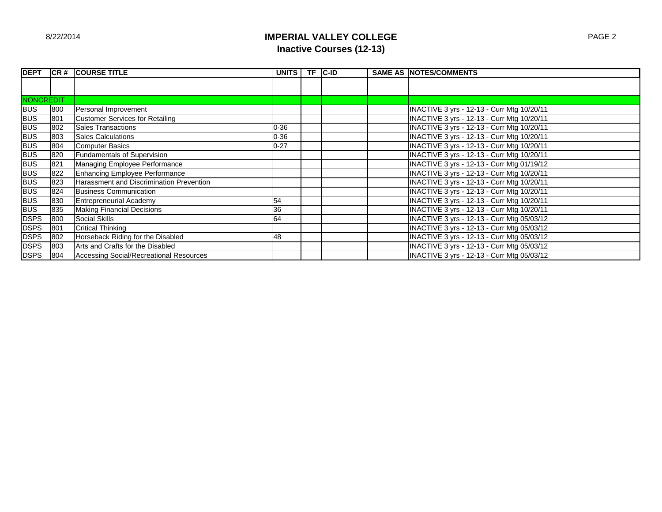# **IMPERIAL VALLEY COLLEGE Inactive Courses (12-13)**

| <b>DEPT</b>      | ICR# | <b>ICOURSE TITLE</b>                     | <b>UNITS</b> | <b>TF</b> | <b>C-ID</b> | <b>SAME AS NOTES/COMMENTS</b>              |
|------------------|------|------------------------------------------|--------------|-----------|-------------|--------------------------------------------|
|                  |      |                                          |              |           |             |                                            |
|                  |      |                                          |              |           |             |                                            |
| <b>NONCREDIT</b> |      |                                          |              |           |             |                                            |
| <b>BUS</b>       | 800  | Personal Improvement                     |              |           |             | INACTIVE 3 yrs - 12-13 - Curr Mtg 10/20/11 |
| <b>BUS</b>       | 801  | <b>Customer Services for Retailing</b>   |              |           |             | INACTIVE 3 yrs - 12-13 - Curr Mtg 10/20/11 |
| <b>BUS</b>       | 802  | <b>Sales Transactions</b>                | $0 - 36$     |           |             | INACTIVE 3 yrs - 12-13 - Curr Mtg 10/20/11 |
| <b>BUS</b>       | 803  | <b>Sales Calculations</b>                | $0 - 36$     |           |             | INACTIVE 3 yrs - 12-13 - Curr Mtg 10/20/11 |
| <b>BUS</b>       | 804  | <b>Computer Basics</b>                   | $0 - 27$     |           |             | INACTIVE 3 yrs - 12-13 - Curr Mtg 10/20/11 |
| <b>BUS</b>       | 820  | <b>Fundamentals of Supervision</b>       |              |           |             | INACTIVE 3 yrs - 12-13 - Curr Mtg 10/20/11 |
|                  | 821  | Managing Employee Performance            |              |           |             | INACTIVE 3 yrs - 12-13 - Curr Mtg 01/19/12 |
| BUS<br>BUS       | 822  | Enhancing Employee Performance           |              |           |             | INACTIVE 3 yrs - 12-13 - Curr Mtg 10/20/11 |
| <b>BUS</b>       | 823  | Harassment and Discrimination Prevention |              |           |             | INACTIVE 3 yrs - 12-13 - Curr Mtg 10/20/11 |
| <b>BUS</b>       | 824  | <b>Business Communication</b>            |              |           |             | INACTIVE 3 yrs - 12-13 - Curr Mtg 10/20/11 |
| <b>BUS</b>       | 830  | <b>Entrepreneurial Academy</b>           | 54           |           |             | INACTIVE 3 yrs - 12-13 - Curr Mtg 10/20/11 |
| <b>BUS</b>       | 835  | <b>Making Financial Decisions</b>        | 36           |           |             | INACTIVE 3 yrs - 12-13 - Curr Mtg 10/20/11 |
| <b>DSPS</b>      | 800  | <b>Social Skills</b>                     | 64           |           |             | INACTIVE 3 yrs - 12-13 - Curr Mtg 05/03/12 |
| <b>DSPS</b>      | 801  | <b>Critical Thinking</b>                 |              |           |             | INACTIVE 3 yrs - 12-13 - Curr Mtg 05/03/12 |
| <b>DSPS</b>      | 802  | Horseback Riding for the Disabled        | 48           |           |             | INACTIVE 3 yrs - 12-13 - Curr Mtg 05/03/12 |
| <b>DSPS</b>      | 803  | Arts and Crafts for the Disabled         |              |           |             | INACTIVE 3 yrs - 12-13 - Curr Mtg 05/03/12 |
| <b>DSPS</b>      | 804  | Accessing Social/Recreational Resources  |              |           |             | INACTIVE 3 yrs - 12-13 - Curr Mtg 05/03/12 |